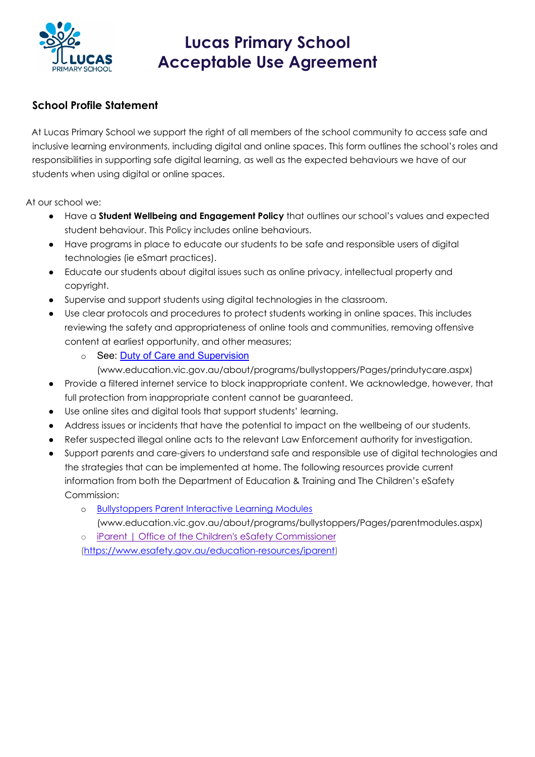

### **School Profile Statement**

 At Lucas Primary School we support the right of all members of the school community to access safe and inclusive learning environments, including digital and online spaces. This form outlines the school's roles and responsibilities in supporting safe digital learning, as well as the expected behaviours we have of our students when using digital or online spaces.

At our school we:

- Have a **Student Wellbeing and Engagement Policy** that outlines our school's values and expected student behaviour. This Policy includes online behaviours.
- Have programs in place to educate our students to be safe and responsible users of digital technologies (ie eSmart practices).
- Educate our students about digital issues such as online privacy, intellectual property and copyright.
- Supervise and support students using digital technologies in the classroom.
- Use clear protocols and procedures to protect students working in online spaces. This includes reviewing the safety and appropriateness of online tools and communities, removing offensive content at earliest opportunity, and other measures;
	- o See: Duty of Care and Supervision

(www.education.vic.gov.au/about/programs/bullystoppers/Pages/prindutycare.aspx)

- Provide a filtered internet service to block inappropriate content. We acknowledge, however, that full protection from inappropriate content cannot be guaranteed.
- Use online sites and digital tools that support students' learning.
- Address issues or incidents that have the potential to impact on the wellbeing of our students.
- Refer suspected illegal online acts to the relevant Law Enforcement authority for investigation.
- Support parents and care-givers to understand safe and responsible use of digital technologies and the strategies that can be implemented at home. The following resources provide current information from both the Department of Education & Training and The Children's eSafety Commission:
	- o Bullystoppers Parent Interactive Learning Modules

(www.education.vic.gov.au/about/programs/bullystoppers/Pages/parentmodules.aspx)

o iParent | Office of the Children's eSafety Commissioner

(https://www.esafety.gov.au/education-resources/iparent)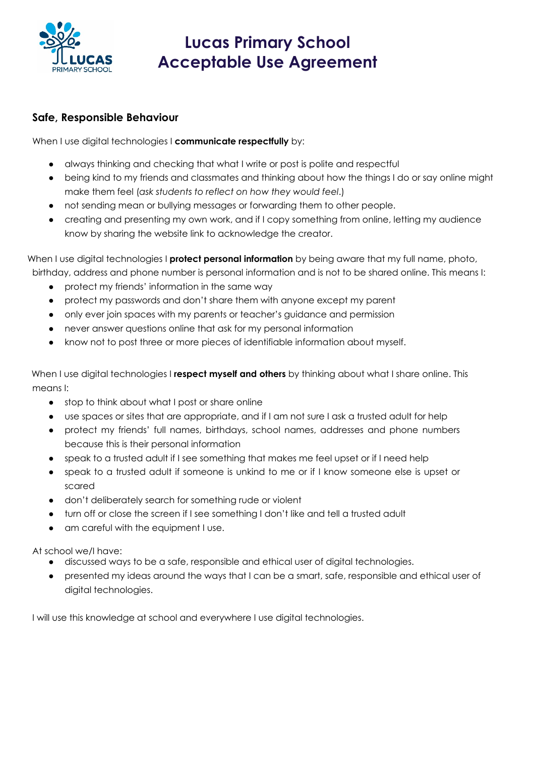

#### **Safe, Responsible Behaviour**

When I use digital technologies I **communicate respectfully** by:

- always thinking and checking that what I write or post is polite and respectful
- being kind to my friends and classmates and thinking about how the things I do or say online might make them feel (*ask students to reflect on how they would feel*.)
- not sending mean or bullying messages or forwarding them to other people.
- creating and presenting my own work, and if I copy something from online, letting my audience know by sharing the website link to acknowledge the creator.

When I use digital technologies I **protect personal information** by being aware that my full name, photo,

birthday, address and phone number is personal information and is not to be shared online. This means I:

- protect my friends' information in the same way
- protect my passwords and don't share them with anyone except my parent
- only ever join spaces with my parents or teacher's guidance and permission
- never answer questions online that ask for my personal information
- know not to post three or more pieces of identifiable information about myself.

 When I use digital technologies I **respect myself and others** by thinking about what I share online. This means I:

- stop to think about what I post or share online
- use spaces or sites that are appropriate, and if I am not sure I ask a trusted adult for help
- protect my friends' full names, birthdays, school names, addresses and phone numbers because this is their personal information
- speak to a trusted adult if I see something that makes me feel upset or if I need help
- speak to a trusted adult if someone is unkind to me or if I know someone else is upset or scared
- don't deliberately search for something rude or violent
- turn off or close the screen if I see something I don't like and tell a trusted adult
- am careful with the equipment I use.

At school we/I have:

- discussed ways to be a safe, responsible and ethical user of digital technologies.
- presented my ideas around the ways that I can be a smart, safe, responsible and ethical user of digital technologies.

I will use this knowledge at school and everywhere I use digital technologies.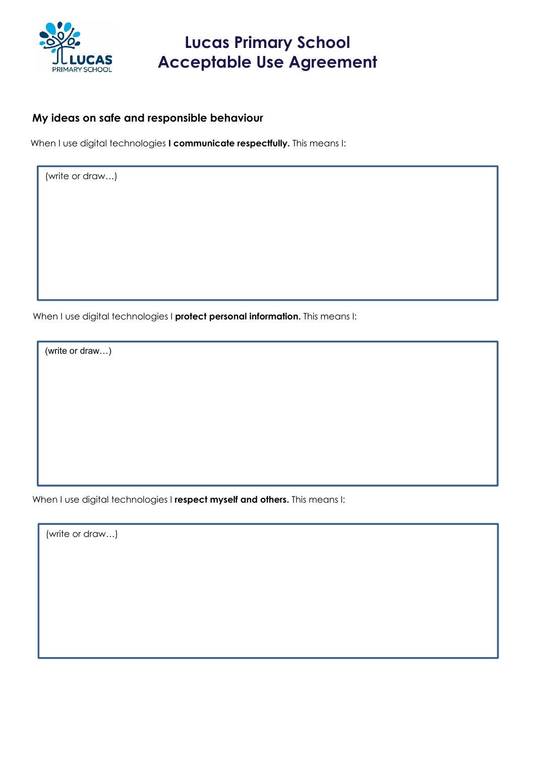

#### **My ideas on safe and responsible behaviour**

When I use digital technologies **I communicate respectfully.** This means I:

(write or draw…)

When I use digital technologies I **protect personal information.** This means I:

(write or draw…)

When I use digital technologies I **respect myself and others.** This means I:

(write or draw…)